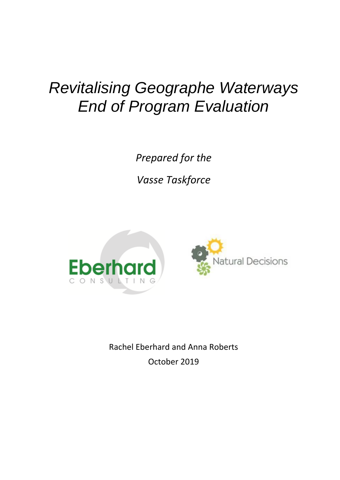# *Revitalising Geographe Waterways End of Program Evaluation*

*Prepared for the*

*Vasse Taskforce* 





Rachel Eberhard and Anna Roberts October 2019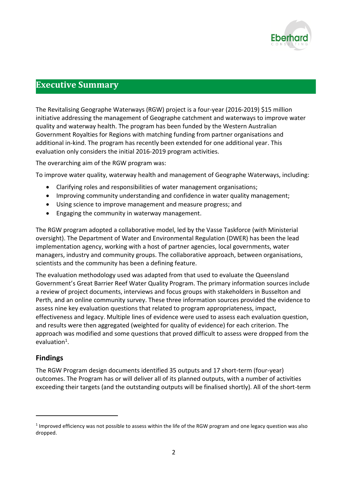

# **Executive Summary**

The Revitalising Geographe Waterways (RGW) project is a four-year (2016-2019) \$15 million initiative addressing the management of Geographe catchment and waterways to improve water quality and waterway health. The program has been funded by the Western Australian Government Royalties for Regions with matching funding from partner organisations and additional in-kind. The program has recently been extended for one additional year. This evaluation only considers the initial 2016-2019 program activities.

The overarching aim of the RGW program was:

To improve water quality, waterway health and management of Geographe Waterways, including:

- Clarifying roles and responsibilities of water management organisations;
- Improving community understanding and confidence in water quality management;
- Using science to improve management and measure progress; and
- Engaging the community in waterway management.

The RGW program adopted a collaborative model, led by the Vasse Taskforce (with Ministerial oversight). The Department of Water and Environmental Regulation (DWER) has been the lead implementation agency, working with a host of partner agencies, local governments, water managers, industry and community groups. The collaborative approach, between organisations, scientists and the community has been a defining feature.

The evaluation methodology used was adapted from that used to evaluate the Queensland Government's Great Barrier Reef Water Quality Program. The primary information sources include a review of project documents, interviews and focus groups with stakeholders in Busselton and Perth, and an online community survey. These three information sources provided the evidence to assess nine key evaluation questions that related to program appropriateness, impact, effectiveness and legacy. Multiple lines of evidence were used to assess each evaluation question, and results were then aggregated (weighted for quality of evidence) for each criterion. The approach was modified and some questions that proved difficult to assess were dropped from the evaluation<sup>1</sup>.

### **Findings**

The RGW Program design documents identified 35 outputs and 17 short-term (four-year) outcomes. The Program has or will deliver all of its planned outputs, with a number of activities exceeding their targets (and the outstanding outputs will be finalised shortly). All of the short-term

 $1$  Improved efficiency was not possible to assess within the life of the RGW program and one legacy question was also dropped.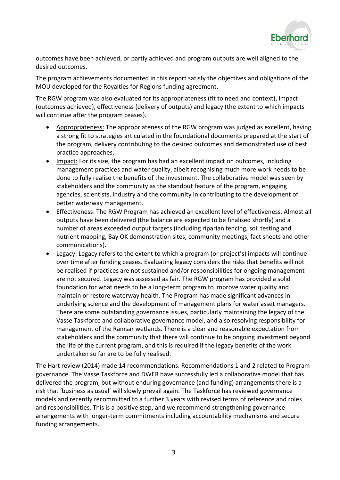

outcomes have been achieved, or partly achieved and program outputs are well aligned to the desired outcomes.

The program achievements documented in this report satisfy the objectives and obligations of the MOU developed for the Royalties for Regions funding agreement.

The RGW program was also evaluated for its appropriateness (fit to need and context), impact (outcomes achieved), effectiveness (delivery of outputs) and legacy (the extent to which impacts will continue after the program ceases).

- Appropriateness: The appropriateness of the RGW program was judged as excellent, having a strong fit to strategies articulated in the foundational documents prepared at the start of the program, delivery contributing to the desired outcomes and demonstrated use of best practice approaches.
- Impact: For its size, the program has had an excellent impact on outcomes, including management practices and water quality, albeit recognising much more work needs to be done to fully realise the benefits of the investment. The collaborative model was seen by stakeholders and the community as the standout feature of the program, engaging agencies, scientists, industry and the community in contributing to the development of better waterway management.
- Effectiveness: The RGW Program has achieved an excellent level of effectiveness. Almost all outputs have been delivered (the balance are expected to be finalised shortly) and a number of areas exceeded output targets (including riparian fencing, soil testing and nutrient mapping, Bay OK demonstration sites, community meetings, fact sheets and other communications).
- Legacy: Legacy refers to the extent to which a program (or project's) impacts will continue over time after funding ceases. Evaluating legacy considers the risks that benefits will not be realised if practices are not sustained and/or responsibilities for ongoing management are not secured. Legacy was assessed as fair. The RGW program has provided a solid foundation for what needs to be a long-term program to improve water quality and maintain or restore waterway health. The Program has made significant advances in underlying science and the development of management plans for water asset managers. There are some outstanding governance issues, particularly maintaining the legacy of the Vasse Taskforce and collaborative governance model, and also resolving responsibility for management of the Ramsar wetlands. There is a clear and reasonable expectation from stakeholders and the community that there will continue to be ongoing investment beyond the life of the current program, and this is required if the legacy benefits of the work undertaken so far are to be fully realised.

The Hart review (2014) made 14 recommendations. Recommendations 1 and 2 related to Program governance. The Vasse Taskforce and DWER have successfully led a collaborative model that has delivered the program, but without enduring governance (and funding) arrangements there is a risk that 'business as usual' will slowly prevail again. The Taskforce has reviewed governance models and recently recommitted to a further 3 years with revised terms of reference and roles and responsibilities. This is a positive step, and we recommend strengthening governance arrangements with longer-term commitments including accountability mechanisms and secure funding arrangements.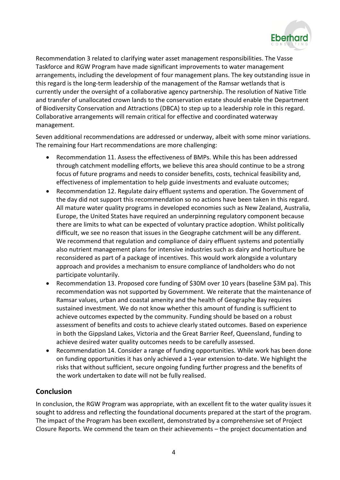

Recommendation 3 related to clarifying water asset management responsibilities. The Vasse Taskforce and RGW Program have made significant improvements to water management arrangements, including the development of four management plans. The key outstanding issue in this regard is the long-term leadership of the management of the Ramsar wetlands that is currently under the oversight of a collaborative agency partnership. The resolution of Native Title and transfer of unallocated crown lands to the conservation estate should enable the Department of Biodiversity Conservation and Attractions (DBCA) to step up to a leadership role in this regard. Collaborative arrangements will remain critical for effective and coordinated waterway management.

Seven additional recommendations are addressed or underway, albeit with some minor variations. The remaining four Hart recommendations are more challenging:

- Recommendation 11. Assess the effectiveness of BMPs. While this has been addressed through catchment modelling efforts, we believe this area should continue to be a strong focus of future programs and needs to consider benefits, costs, technical feasibility and, effectiveness of implementation to help guide investments and evaluate outcomes;
- Recommendation 12. Regulate dairy effluent systems and operation. The Government of the day did not support this recommendation so no actions have been taken in this regard. All mature water quality programs in developed economies such as New Zealand, Australia, Europe, the United States have required an underpinning regulatory component because there are limits to what can be expected of voluntary practice adoption. Whilst politically difficult, we see no reason that issues in the Geographe catchment will be any different. We recommend that regulation and compliance of dairy effluent systems and potentially also nutrient management plans for intensive industries such as dairy and horticulture be reconsidered as part of a package of incentives. This would work alongside a voluntary approach and provides a mechanism to ensure compliance of landholders who do not participate voluntarily.
- Recommendation 13. Proposed core funding of \$30M over 10 years (baseline \$3M pa). This recommendation was not supported by Government. We reiterate that the maintenance of Ramsar values, urban and coastal amenity and the health of Geographe Bay requires sustained investment. We do not know whether this amount of funding is sufficient to achieve outcomes expected by the community. Funding should be based on a robust assessment of benefits and costs to achieve clearly stated outcomes. Based on experience in both the Gippsland Lakes, Victoria and the Great Barrier Reef, Queensland, funding to achieve desired water quality outcomes needs to be carefully assessed.
- Recommendation 14. Consider a range of funding opportunities. While work has been done on funding opportunities it has only achieved a 1-year extension to-date. We highlight the risks that without sufficient, secure ongoing funding further progress and the benefits of the work undertaken to date will not be fully realised.

# **Conclusion**

In conclusion, the RGW Program was appropriate, with an excellent fit to the water quality issues it sought to address and reflecting the foundational documents prepared at the start of the program. The impact of the Program has been excellent, demonstrated by a comprehensive set of Project Closure Reports. We commend the team on their achievements – the project documentation and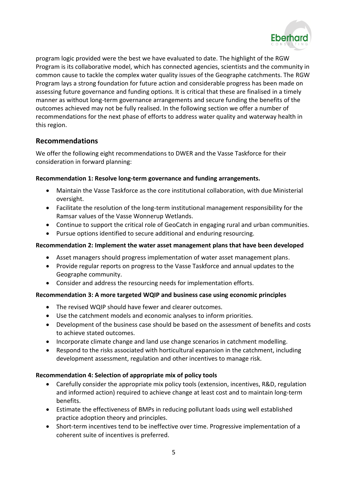

program logic provided were the best we have evaluated to date. The highlight of the RGW Program is its collaborative model, which has connected agencies, scientists and the community in common cause to tackle the complex water quality issues of the Geographe catchments. The RGW Program lays a strong foundation for future action and considerable progress has been made on assessing future governance and funding options. It is critical that these are finalised in a timely manner as without long-term governance arrangements and secure funding the benefits of the outcomes achieved may not be fully realised. In the following section we offer a number of recommendations for the next phase of efforts to address water quality and waterway health in this region.

## **Recommendations**

We offer the following eight recommendations to DWER and the Vasse Taskforce for their consideration in forward planning:

#### **Recommendation 1: Resolve long-term governance and funding arrangements.**

- Maintain the Vasse Taskforce as the core institutional collaboration, with due Ministerial oversight.
- Facilitate the resolution of the long-term institutional management responsibility for the Ramsar values of the Vasse Wonnerup Wetlands.
- Continue to support the critical role of GeoCatch in engaging rural and urban communities.
- Pursue options identified to secure additional and enduring resourcing.

#### **Recommendation 2: Implement the water asset management plans that have been developed**

- Asset managers should progress implementation of water asset management plans.
- Provide regular reports on progress to the Vasse Taskforce and annual updates to the Geographe community.
- Consider and address the resourcing needs for implementation efforts.

#### **Recommendation 3: A more targeted WQIP and business case using economic principles**

- The revised WQIP should have fewer and clearer outcomes.
- Use the catchment models and economic analyses to inform priorities.
- Development of the business case should be based on the assessment of benefits and costs to achieve stated outcomes.
- Incorporate climate change and land use change scenarios in catchment modelling.
- Respond to the risks associated with horticultural expansion in the catchment, including development assessment, regulation and other incentives to manage risk.

#### **Recommendation 4: Selection of appropriate mix of policy tools**

- Carefully consider the appropriate mix policy tools (extension, incentives, R&D, regulation and informed action) required to achieve change at least cost and to maintain long-term benefits.
- Estimate the effectiveness of BMPs in reducing pollutant loads using well established practice adoption theory and principles.
- Short-term incentives tend to be ineffective over time. Progressive implementation of a coherent suite of incentives is preferred.